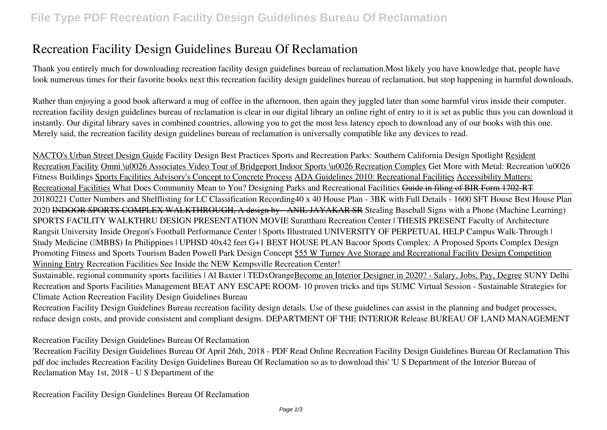# **Recreation Facility Design Guidelines Bureau Of Reclamation**

Thank you entirely much for downloading **recreation facility design guidelines bureau of reclamation**.Most likely you have knowledge that, people have look numerous times for their favorite books next this recreation facility design guidelines bureau of reclamation, but stop happening in harmful downloads.

Rather than enjoying a good book afterward a mug of coffee in the afternoon, then again they juggled later than some harmful virus inside their computer. **recreation facility design guidelines bureau of reclamation** is clear in our digital library an online right of entry to it is set as public thus you can download it instantly. Our digital library saves in combined countries, allowing you to get the most less latency epoch to download any of our books with this one. Merely said, the recreation facility design guidelines bureau of reclamation is universally compatible like any devices to read.

NACTO's Urban Street Design Guide *Facility Design Best Practices Sports and Recreation Parks: Southern California Design Spotlight* Resident Recreation Facility Omni \u0026 Associates Video Tour of Bridgeport Indoor Sports \u0026 Recreation Complex Get More with Metal: Recreation \u0026 *Fitness Buildings* Sports Facilities Advisory's Concept to Concrete Process ADA Guidelines 2010: Recreational Facilities Accessibility Matters: Recreational Facilities What Does Community Mean to You? Designing Parks and Recreational Facilities Guide in filing of BIR Form 1702-RT 20180221 Cutter Numbers and Shelflisting for LC Classification Recording**40 x 40 House Plan - 3BK with Full Details - 1600 SFT House Best House Plan 2020** INDOOR SPORTS COMPLEX WALKTHROUGH, A design by - ANIL JAYAKAR SR *Stealing Baseball Signs with a Phone (Machine Learning)* SPORTS FACILITY WALKTHRU DESIGN PRESENTATION MOVIE *Suratthani Recreation Center | THESIS PRESENT Faculty of Architecture Rangsit University Inside Oregon's Football Performance Center | Sports Illustrated UNIVERSITY OF PERPETUAL HELP Campus Walk-Through | Study Medicine (≈MBBS) In Philippines | UPHSD* **40x42 feet G+1 BEST HOUSE PLAN Bacoor Sports Complex: A Proposed Sports Complex Design Promoting Fitness and Sports Tourism Baden Powell Park Design Concept** 555 W Turney Ave Storage and Recreational Facility Design Competition Winning Entry *Recreation Facilities See Inside the NEW Kempsville Recreation Center!*

Sustainable, regional community sports facilities | Al Baxter | TEDxOrangeBecome an Interior Designer in 2020? - Salary, Jobs, Pay, Degree **SUNY Delhi Recreation and Sports Facilities Management BEAT ANY ESCAPE ROOM- 10 proven tricks and tips** *SUMC Virtual Session - Sustainable Strategies for Climate Action* Recreation Facility Design Guidelines Bureau

Recreation Facility Design Guidelines Bureau recreation facility design details. Use of these guidelines can assist in the planning and budget processes, reduce design costs, and provide consistent and compliant designs. DEPARTMENT OF THE INTERIOR Release BUREAU OF LAND MANAGEMENT

Recreation Facility Design Guidelines Bureau Of Reclamation

'Recreation Facility Design Guidelines Bureau Of April 26th, 2018 - PDF Read Online Recreation Facility Design Guidelines Bureau Of Reclamation This pdf doc includes Recreation Facility Design Guidelines Bureau Of Reclamation so as to download this' 'U S Department of the Interior Bureau of Reclamation May 1st, 2018 - U S Department of the

Recreation Facility Design Guidelines Bureau Of Reclamation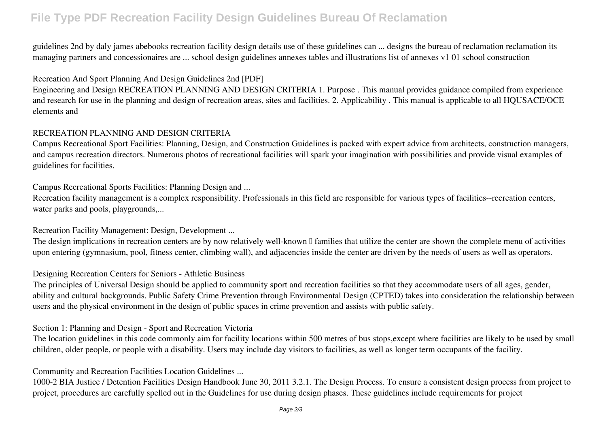# **File Type PDF Recreation Facility Design Guidelines Bureau Of Reclamation**

guidelines 2nd by daly james abebooks recreation facility design details use of these guidelines can ... designs the bureau of reclamation reclamation its managing partners and concessionaires are ... school design guidelines annexes tables and illustrations list of annexes v1 01 school construction

# Recreation And Sport Planning And Design Guidelines 2nd [PDF]

Engineering and Design RECREATION PLANNING AND DESIGN CRITERIA 1. Purpose . This manual provides guidance compiled from experience and research for use in the planning and design of recreation areas, sites and facilities. 2. Applicability . This manual is applicable to all HQUSACE/OCE elements and

# RECREATION PLANNING AND DESIGN CRITERIA

Campus Recreational Sport Facilities: Planning, Design, and Construction Guidelines is packed with expert advice from architects, construction managers, and campus recreation directors. Numerous photos of recreational facilities will spark your imagination with possibilities and provide visual examples of guidelines for facilities.

Campus Recreational Sports Facilities: Planning Design and ...

Recreation facility management is a complex responsibility. Professionals in this field are responsible for various types of facilities--recreation centers, water parks and pools, playgrounds,...

# Recreation Facility Management: Design, Development ...

The design implications in recreation centers are by now relatively well-known  $\mathbb I$  families that utilize the center are shown the complete menu of activities upon entering (gymnasium, pool, fitness center, climbing wall), and adjacencies inside the center are driven by the needs of users as well as operators.

# Designing Recreation Centers for Seniors - Athletic Business

The principles of Universal Design should be applied to community sport and recreation facilities so that they accommodate users of all ages, gender, ability and cultural backgrounds. Public Safety Crime Prevention through Environmental Design (CPTED) takes into consideration the relationship between users and the physical environment in the design of public spaces in crime prevention and assists with public safety.

# Section 1: Planning and Design - Sport and Recreation Victoria

The location guidelines in this code commonly aim for facility locations within 500 metres of bus stops,except where facilities are likely to be used by small children, older people, or people with a disability. Users may include day visitors to facilities, as well as longer term occupants of the facility.

# Community and Recreation Facilities Location Guidelines ...

1000-2 BIA Justice / Detention Facilities Design Handbook June 30, 2011 3.2.1. The Design Process. To ensure a consistent design process from project to project, procedures are carefully spelled out in the Guidelines for use during design phases. These guidelines include requirements for project